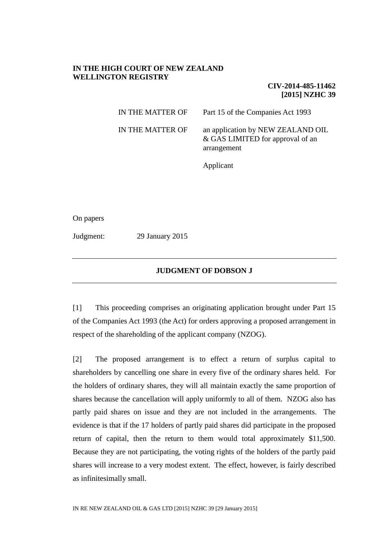# **IN THE HIGH COURT OF NEW ZEALAND WELLINGTON REGISTRY**

**CIV-2014-485-11462 [2015] NZHC 39**

| IN THE MATTER OF | Part 15 of the Companies Act 1993                                                    |
|------------------|--------------------------------------------------------------------------------------|
| IN THE MATTER OF | an application by NEW ZEALAND OIL<br>& GAS LIMITED for approval of an<br>arrangement |

Applicant

On papers

Judgment: 29 January 2015

## **JUDGMENT OF DOBSON J**

[1] This proceeding comprises an originating application brought under Part 15 of the Companies Act 1993 (the Act) for orders approving a proposed arrangement in respect of the shareholding of the applicant company (NZOG).

[2] The proposed arrangement is to effect a return of surplus capital to shareholders by cancelling one share in every five of the ordinary shares held. For the holders of ordinary shares, they will all maintain exactly the same proportion of shares because the cancellation will apply uniformly to all of them. NZOG also has partly paid shares on issue and they are not included in the arrangements. The evidence is that if the 17 holders of partly paid shares did participate in the proposed return of capital, then the return to them would total approximately \$11,500. Because they are not participating, the voting rights of the holders of the partly paid shares will increase to a very modest extent. The effect, however, is fairly described as infinitesimally small.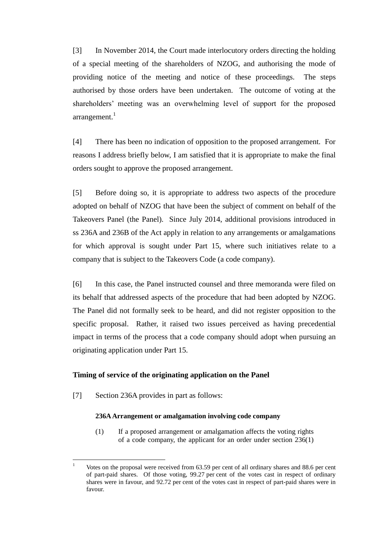[3] In November 2014, the Court made interlocutory orders directing the holding of a special meeting of the shareholders of NZOG, and authorising the mode of providing notice of the meeting and notice of these proceedings. The steps authorised by those orders have been undertaken. The outcome of voting at the shareholders' meeting was an overwhelming level of support for the proposed  $arrangement.<sup>1</sup>$ 

[4] There has been no indication of opposition to the proposed arrangement. For reasons I address briefly below, I am satisfied that it is appropriate to make the final orders sought to approve the proposed arrangement.

[5] Before doing so, it is appropriate to address two aspects of the procedure adopted on behalf of NZOG that have been the subject of comment on behalf of the Takeovers Panel (the Panel). Since July 2014, additional provisions introduced in ss 236A and 236B of the Act apply in relation to any arrangements or amalgamations for which approval is sought under Part 15, where such initiatives relate to a company that is subject to the Takeovers Code (a code company).

[6] In this case, the Panel instructed counsel and three memoranda were filed on its behalf that addressed aspects of the procedure that had been adopted by NZOG. The Panel did not formally seek to be heard, and did not register opposition to the specific proposal. Rather, it raised two issues perceived as having precedential impact in terms of the process that a code company should adopt when pursuing an originating application under Part 15.

### **Timing of service of the originating application on the Panel**

[7] Section 236A provides in part as follows:

 $\overline{a}$ 

## **236A Arrangement or amalgamation involving code company**

(1) If a proposed arrangement or amalgamation affects the voting rights of a code company, the applicant for an order under section 236(1)

<sup>1</sup> Votes on the proposal were received from 63.59 per cent of all ordinary shares and 88.6 per cent of part-paid shares. Of those voting, 99.27 per cent of the votes cast in respect of ordinary shares were in favour, and 92.72 per cent of the votes cast in respect of part-paid shares were in favour.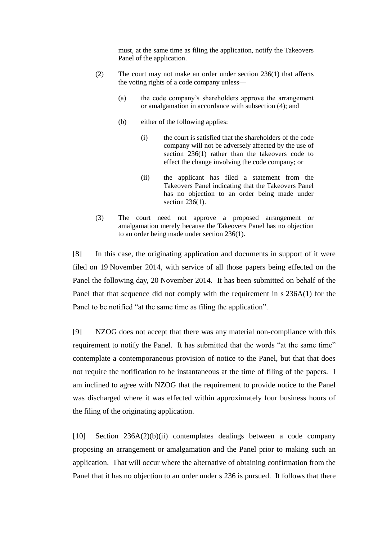must, at the same time as filing the application, notify the Takeovers Panel of the application.

- (2) The court may not make an order under section 236(1) that affects the voting rights of a code company unless—
	- (a) the code company's shareholders approve the arrangement or amalgamation in accordance with subsection (4); and
	- (b) either of the following applies:
		- (i) the court is satisfied that the shareholders of the code company will not be adversely affected by the use of section 236(1) rather than the takeovers code to effect the change involving the code company; or
		- (ii) the applicant has filed a statement from the Takeovers Panel indicating that the Takeovers Panel has no objection to an order being made under section 236(1).
- (3) The court need not approve a proposed arrangement or amalgamation merely because the Takeovers Panel has no objection to an order being made under section 236(1).

[8] In this case, the originating application and documents in support of it were filed on 19 November 2014, with service of all those papers being effected on the Panel the following day, 20 November 2014. It has been submitted on behalf of the Panel that that sequence did not comply with the requirement in s 236A(1) for the Panel to be notified "at the same time as filing the application".

[9] NZOG does not accept that there was any material non-compliance with this requirement to notify the Panel. It has submitted that the words "at the same time" contemplate a contemporaneous provision of notice to the Panel, but that that does not require the notification to be instantaneous at the time of filing of the papers. I am inclined to agree with NZOG that the requirement to provide notice to the Panel was discharged where it was effected within approximately four business hours of the filing of the originating application.

[10] Section 236A(2)(b)(ii) contemplates dealings between a code company proposing an arrangement or amalgamation and the Panel prior to making such an application. That will occur where the alternative of obtaining confirmation from the Panel that it has no objection to an order under s 236 is pursued. It follows that there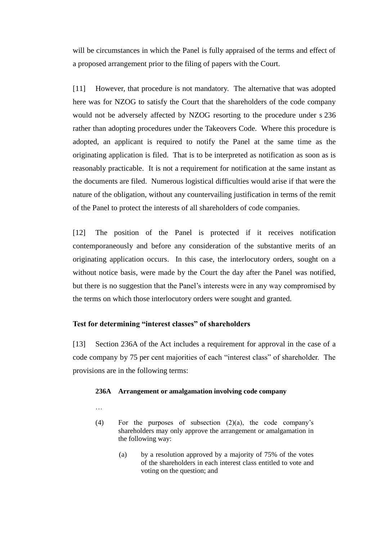will be circumstances in which the Panel is fully appraised of the terms and effect of a proposed arrangement prior to the filing of papers with the Court.

[11] However, that procedure is not mandatory. The alternative that was adopted here was for NZOG to satisfy the Court that the shareholders of the code company would not be adversely affected by NZOG resorting to the procedure under s 236 rather than adopting procedures under the Takeovers Code. Where this procedure is adopted, an applicant is required to notify the Panel at the same time as the originating application is filed. That is to be interpreted as notification as soon as is reasonably practicable. It is not a requirement for notification at the same instant as the documents are filed. Numerous logistical difficulties would arise if that were the nature of the obligation, without any countervailing justification in terms of the remit of the Panel to protect the interests of all shareholders of code companies.

[12] The position of the Panel is protected if it receives notification contemporaneously and before any consideration of the substantive merits of an originating application occurs. In this case, the interlocutory orders, sought on a without notice basis, were made by the Court the day after the Panel was notified, but there is no suggestion that the Panel's interests were in any way compromised by the terms on which those interlocutory orders were sought and granted.

### **Test for determining "interest classes" of shareholders**

[13] Section 236A of the Act includes a requirement for approval in the case of a code company by 75 per cent majorities of each "interest class" of shareholder. The provisions are in the following terms:

### **236A Arrangement or amalgamation involving code company**

…

- (4) For the purposes of subsection (2)(a), the code company's shareholders may only approve the arrangement or amalgamation in the following way:
	- (a) by a resolution approved by a majority of 75% of the votes of the shareholders in each interest class entitled to vote and voting on the question; and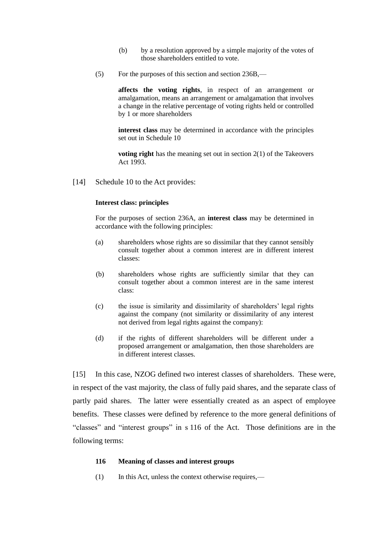- (b) by a resolution approved by a simple majority of the votes of those shareholders entitled to vote.
- (5) For the purposes of this section and section 236B,—

**affects the voting rights**, in respect of an arrangement or amalgamation, means an arrangement or amalgamation that involves a change in the relative percentage of voting rights held or controlled by 1 or more shareholders

**interest class** may be determined in accordance with the principles set out in Schedule 10

**voting right** has the meaning set out in section 2(1) of the Takeovers Act 1993.

[14] Schedule 10 to the Act provides:

#### **Interest class: principles**

For the purposes of section 236A, an **interest class** may be determined in accordance with the following principles:

- (a) shareholders whose rights are so dissimilar that they cannot sensibly consult together about a common interest are in different interest classes:
- (b) shareholders whose rights are sufficiently similar that they can consult together about a common interest are in the same interest class:
- (c) the issue is similarity and dissimilarity of shareholders' legal rights against the company (not similarity or dissimilarity of any interest not derived from legal rights against the company):
- (d) if the rights of different shareholders will be different under a proposed arrangement or amalgamation, then those shareholders are in different interest classes.

[15] In this case, NZOG defined two interest classes of shareholders. These were, in respect of the vast majority, the class of fully paid shares, and the separate class of partly paid shares. The latter were essentially created as an aspect of employee benefits. These classes were defined by reference to the more general definitions of "classes" and "interest groups" in s 116 of the Act. Those definitions are in the following terms:

#### **116 Meaning of classes and interest groups**

(1) In this Act, unless the context otherwise requires,—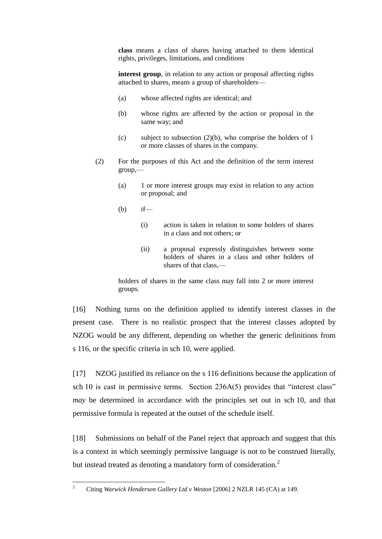**class** means a class of shares having attached to them identical rights, privileges, limitations, and conditions

**interest group**, in relation to any action or proposal affecting rights attached to shares, means a group of shareholders—

- (a) whose affected rights are identical; and
- (b) whose rights are affected by the action or proposal in the same way; and
- (c) subject to subsection  $(2)(b)$ , who comprise the holders of 1 or more classes of shares in the company.
- (2) For the purposes of this Act and the definition of the term interest group,—
	- (a) 1 or more interest groups may exist in relation to any action or proposal; and
	- (b) if—
		- (i) action is taken in relation to some holders of shares in a class and not others; or
		- (ii) a proposal expressly distinguishes between some holders of shares in a class and other holders of shares of that class –

holders of shares in the same class may fall into 2 or more interest groups.

[16] Nothing turns on the definition applied to identify interest classes in the present case. There is no realistic prospect that the interest classes adopted by NZOG would be any different, depending on whether the generic definitions from s 116, or the specific criteria in sch 10, were applied.

[17] NZOG justified its reliance on the s 116 definitions because the application of sch 10 is cast in permissive terms. Section 236A(5) provides that "interest class" *may* be determined in accordance with the principles set out in sch 10, and that permissive formula is repeated at the outset of the schedule itself.

[18] Submissions on behalf of the Panel reject that approach and suggest that this is a context in which seemingly permissive language is not to be construed literally, but instead treated as denoting a mandatory form of consideration.<sup>2</sup>

 $\overline{2}$ <sup>2</sup> Citing *Warwick Henderson Gallery Ltd v Weston* [2006] 2 NZLR 145 (CA) at 149.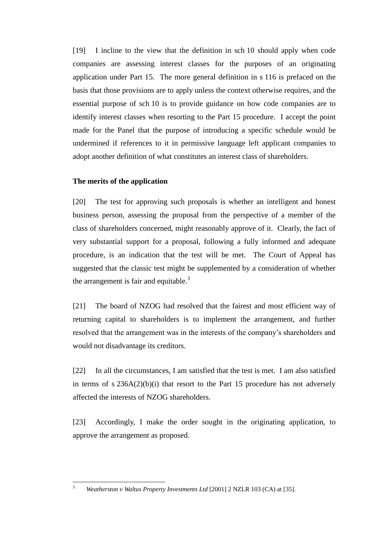[19] I incline to the view that the definition in sch 10 should apply when code companies are assessing interest classes for the purposes of an originating application under Part 15. The more general definition in s 116 is prefaced on the basis that those provisions are to apply unless the context otherwise requires, and the essential purpose of sch 10 is to provide guidance on how code companies are to identify interest classes when resorting to the Part 15 procedure. I accept the point made for the Panel that the purpose of introducing a specific schedule would be undermined if references to it in permissive language left applicant companies to adopt another definition of what constitutes an interest class of shareholders.

# **The merits of the application**

[20] The test for approving such proposals is whether an intelligent and honest business person, assessing the proposal from the perspective of a member of the class of shareholders concerned, might reasonably approve of it. Clearly, the fact of very substantial support for a proposal, following a fully informed and adequate procedure, is an indication that the test will be met. The Court of Appeal has suggested that the classic test might be supplemented by a consideration of whether the arrangement is fair and equitable. $3$ 

[21] The board of NZOG had resolved that the fairest and most efficient way of returning capital to shareholders is to implement the arrangement, and further resolved that the arrangement was in the interests of the company's shareholders and would not disadvantage its creditors.

[22] In all the circumstances, I am satisfied that the test is met. I am also satisfied in terms of  $s$  236A(2)(b)(i) that resort to the Part 15 procedure has not adversely affected the interests of NZOG shareholders.

[23] Accordingly, I make the order sought in the originating application, to approve the arrangement as proposed.

<sup>3</sup> *Weatherston v Waltus Property Investments Ltd* [2001] 2 NZLR 103 (CA) at [35].

 $\overline{3}$